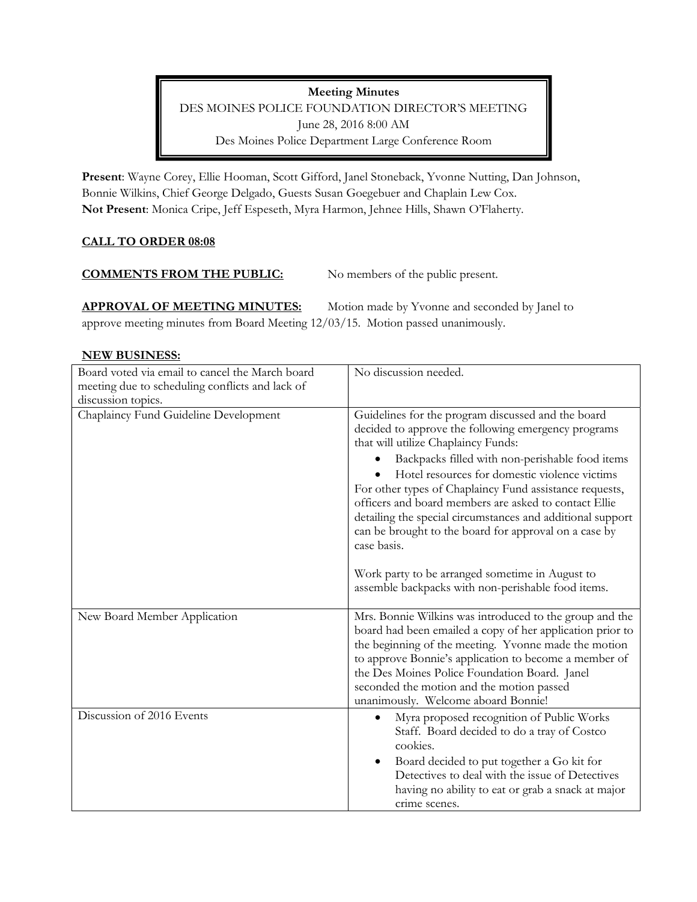Meeting Minutes DES MOINES POLICE FOUNDATION DIRECTOR'S MEETING June 28, 2016 8:00 AM Des Moines Police Department Large Conference Room

Present: Wayne Corey, Ellie Hooman, Scott Gifford, Janel Stoneback, Yvonne Nutting, Dan Johnson, Bonnie Wilkins, Chief George Delgado, Guests Susan Goegebuer and Chaplain Lew Cox. Not Present: Monica Cripe, Jeff Espeseth, Myra Harmon, Jehnee Hills, Shawn O'Flaherty.

# CALL TO ORDER 08:08

## COMMENTS FROM THE PUBLIC: No members of the public present.

**APPROVAL OF MEETING MINUTES:** Motion made by Yvonne and seconded by Janel to approve meeting minutes from Board Meeting 12/03/15. Motion passed unanimously.

# NEW BUSINESS:

| Board voted via email to cancel the March board<br>meeting due to scheduling conflicts and lack of | No discussion needed.                                                                                                                                                                                                                                                                                                                                                      |
|----------------------------------------------------------------------------------------------------|----------------------------------------------------------------------------------------------------------------------------------------------------------------------------------------------------------------------------------------------------------------------------------------------------------------------------------------------------------------------------|
| discussion topics.                                                                                 |                                                                                                                                                                                                                                                                                                                                                                            |
| Chaplaincy Fund Guideline Development                                                              | Guidelines for the program discussed and the board<br>decided to approve the following emergency programs<br>that will utilize Chaplaincy Funds:                                                                                                                                                                                                                           |
|                                                                                                    | Backpacks filled with non-perishable food items<br>Hotel resources for domestic violence victims<br>For other types of Chaplaincy Fund assistance requests,<br>officers and board members are asked to contact Ellie<br>detailing the special circumstances and additional support<br>can be brought to the board for approval on a case by<br>case basis.                 |
|                                                                                                    | Work party to be arranged sometime in August to<br>assemble backpacks with non-perishable food items.                                                                                                                                                                                                                                                                      |
| New Board Member Application                                                                       | Mrs. Bonnie Wilkins was introduced to the group and the<br>board had been emailed a copy of her application prior to<br>the beginning of the meeting. Yvonne made the motion<br>to approve Bonnie's application to become a member of<br>the Des Moines Police Foundation Board. Janel<br>seconded the motion and the motion passed<br>unanimously. Welcome aboard Bonnie! |
| Discussion of 2016 Events                                                                          | Myra proposed recognition of Public Works<br>Staff. Board decided to do a tray of Costco<br>cookies.<br>Board decided to put together a Go kit for<br>Detectives to deal with the issue of Detectives<br>having no ability to eat or grab a snack at major<br>crime scenes.                                                                                                |